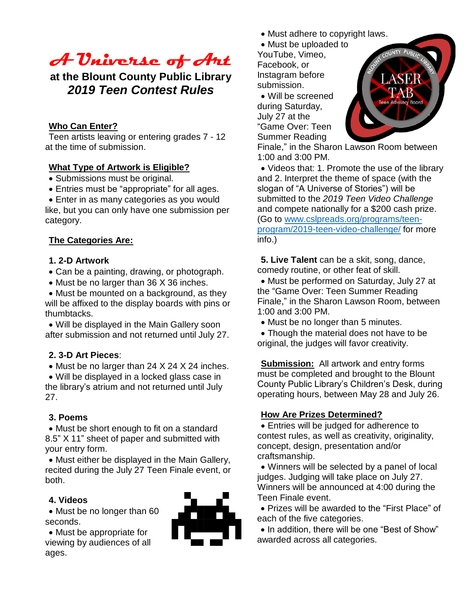# **A Universe of Art**

### **at the Blount County Public Library** *2019 Teen Contest Rules*

#### **Who Can Enter?**

Teen artists leaving or entering grades 7 - 12 at the time of submission.

#### **What Type of Artwork is Eligible?**

Submissions must be original.

- Entries must be "appropriate" for all ages.
- Enter in as many categories as you would

like, but you can only have one submission per category.

#### **The Categories Are:**

#### **1. 2-D Artwork**

Can be a painting, drawing, or photograph.

• Must be no larger than 36 X 36 inches.

 Must be mounted on a background, as they will be affixed to the display boards with pins or thumbtacks.

 Will be displayed in the Main Gallery soon after submission and not returned until July 27.

#### **2. 3-D Art Pieces**:

• Must be no larger than 24 X 24 X 24 inches.

 Will be displayed in a locked glass case in the library's atrium and not returned until July 27.

#### **3. Poems**

 Must be short enough to fit on a standard 8.5" X 11" sheet of paper and submitted with your entry form.

 Must either be displayed in the Main Gallery, recited during the July 27 Teen Finale event, or both.

#### **4. Videos**

• Must be no longer than 60 seconds.

Must be appropriate for

viewing by audiences of all ages.



- Must adhere to copyright laws.
- Must be uploaded to

YouTube, Vimeo, Facebook, or Instagram before submission.

 Will be screened during Saturday, July 27 at the "Game Over: Teen Summer Reading



Finale," in the Sharon Lawson Room between 1:00 and 3:00 PM.

 Videos that: 1. Promote the use of the library and 2. Interpret the theme of space (with the slogan of "A Universe of Stories") will be submitted to the *2019 Teen Video Challenge* and compete nationally for a \$200 cash prize. (Go to [www.cslpreads.org/programs/teen](http://www.cslpreads.org/programs/teen-program/2019-teen-video-challenge/)[program/2019-teen-video-challenge/](http://www.cslpreads.org/programs/teen-program/2019-teen-video-challenge/) for more info.)

**5. Live Talent** can be a skit, song, dance, comedy routine, or other feat of skill.

 Must be performed on Saturday, July 27 at the "Game Over: Teen Summer Reading Finale," in the Sharon Lawson Room, between 1:00 and 3:00 PM.

• Must be no longer than 5 minutes.

 Though the material does not have to be original, the judges will favor creativity.

**Submission:** All artwork and entry forms must be completed and brought to the Blount County Public Library's Children's Desk, during operating hours, between May 28 and July 26.

#### **How Are Prizes Determined?**

 Entries will be judged for adherence to contest rules, as well as creativity, originality, concept, design, presentation and/or craftsmanship.

 Winners will be selected by a panel of local judges. Judging will take place on July 27. Winners will be announced at 4:00 during the Teen Finale event.

 Prizes will be awarded to the "First Place" of each of the five categories.

• In addition, there will be one "Best of Show" awarded across all categories.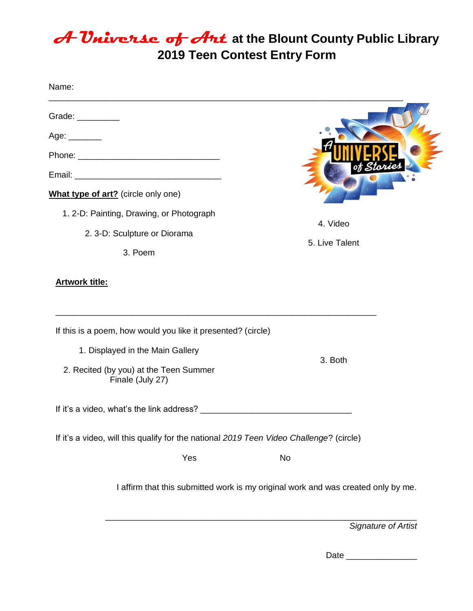## **A Universe of Art at the Blount County Public Library 2019 Teen Contest Entry Form**

| Name:                                                                                                                                                                                                                                                                                                                                                                                                                              |                |
|------------------------------------------------------------------------------------------------------------------------------------------------------------------------------------------------------------------------------------------------------------------------------------------------------------------------------------------------------------------------------------------------------------------------------------|----------------|
| Grade: $\frac{1}{\sqrt{1-\frac{1}{2}}\cdot\sqrt{1-\frac{1}{2}}\cdot\sqrt{1-\frac{1}{2}}\cdot\sqrt{1-\frac{1}{2}}\cdot\sqrt{1-\frac{1}{2}}\cdot\sqrt{1-\frac{1}{2}}\cdot\sqrt{1-\frac{1}{2}}\cdot\sqrt{1-\frac{1}{2}}\cdot\sqrt{1-\frac{1}{2}}\cdot\sqrt{1-\frac{1}{2}}\cdot\sqrt{1-\frac{1}{2}}\cdot\sqrt{1-\frac{1}{2}}\cdot\sqrt{1-\frac{1}{2}}\cdot\sqrt{1-\frac{1}{2}}\cdot\sqrt{1-\frac{1}{2}}\cdot\sqrt{1-\frac{1}{2}}\cdot$ |                |
| Age: $\_\_$                                                                                                                                                                                                                                                                                                                                                                                                                        |                |
|                                                                                                                                                                                                                                                                                                                                                                                                                                    |                |
|                                                                                                                                                                                                                                                                                                                                                                                                                                    |                |
| What type of art? (circle only one)                                                                                                                                                                                                                                                                                                                                                                                                |                |
| 1. 2-D: Painting, Drawing, or Photograph                                                                                                                                                                                                                                                                                                                                                                                           |                |
| 2. 3-D: Sculpture or Diorama                                                                                                                                                                                                                                                                                                                                                                                                       | 4. Video       |
| 3. Poem                                                                                                                                                                                                                                                                                                                                                                                                                            | 5. Live Talent |
| <b>Artwork title:</b><br>If this is a poem, how would you like it presented? (circle)                                                                                                                                                                                                                                                                                                                                              |                |
| 1. Displayed in the Main Gallery                                                                                                                                                                                                                                                                                                                                                                                                   | 3. Both        |
| 2. Recited (by you) at the Teen Summer<br>Finale (July 27)                                                                                                                                                                                                                                                                                                                                                                         |                |
| If it's a video, what's the link address?                                                                                                                                                                                                                                                                                                                                                                                          |                |
| If it's a video, will this qualify for the national 2019 Teen Video Challenge? (circle)                                                                                                                                                                                                                                                                                                                                            |                |
| Yes                                                                                                                                                                                                                                                                                                                                                                                                                                | No             |
| I affirm that this submitted work is my original work and was created only by me.                                                                                                                                                                                                                                                                                                                                                  |                |

\_\_\_\_\_\_\_\_\_\_\_\_\_\_\_\_\_\_\_\_\_\_\_\_\_\_\_\_\_\_\_\_\_\_\_\_\_\_\_\_\_\_\_\_\_\_\_\_\_\_\_\_\_\_\_\_\_\_\_\_\_\_\_\_\_\_ *Signature of Artist* 

Date \_\_\_\_\_\_\_\_\_\_\_\_\_\_\_